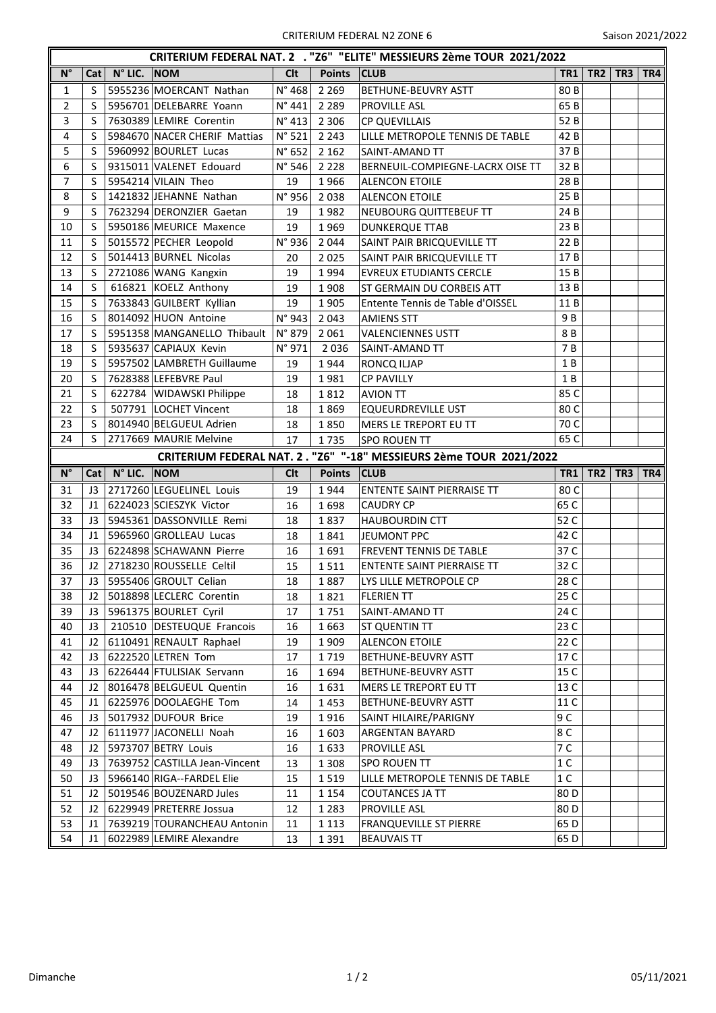| CRITERIUM FEDERAL NAT. 2 . "Z6" "ELITE" MESSIEURS 2ème TOUR 2021/2022 |                |                      |                                                         |                 |                                                                    |                                                     |                 |                 |                 |     |  |  |
|-----------------------------------------------------------------------|----------------|----------------------|---------------------------------------------------------|-----------------|--------------------------------------------------------------------|-----------------------------------------------------|-----------------|-----------------|-----------------|-----|--|--|
| $\mathsf{N}^\circ$                                                    | Cat            | $N^{\circ}$ LIC. NOM |                                                         | Clt             | Points CLUB                                                        |                                                     | TR <sub>1</sub> | TR <sub>2</sub> | TR <sub>3</sub> | TR4 |  |  |
| $\mathbf{1}$                                                          | S              |                      | 5955236 MOERCANT Nathan                                 | $N^{\circ}$ 468 | 2 2 6 9                                                            | <b>BETHUNE-BEUVRY ASTT</b>                          | 80 B            |                 |                 |     |  |  |
| $\overline{2}$                                                        | S              |                      | 5956701 DELEBARRE Yoann                                 | N°441           | 2 2 8 9                                                            | PROVILLE ASL                                        | 65B             |                 |                 |     |  |  |
| 3                                                                     | S              |                      | 7630389 LEMIRE Corentin                                 | $N^{\circ}$ 413 | 2 3 0 6                                                            | <b>CP QUEVILLAIS</b>                                | 52 B            |                 |                 |     |  |  |
| 4                                                                     | S              |                      | 5984670 NACER CHERIF Mattias                            | $N^{\circ}$ 521 | 2 2 4 3                                                            | LILLE METROPOLE TENNIS DE TABLE                     | 42 B            |                 |                 |     |  |  |
| 5                                                                     | S              |                      | 5960992 BOURLET Lucas                                   | $N^{\circ}$ 652 | 2 1 6 2                                                            | SAINT-AMAND TT                                      | 37B             |                 |                 |     |  |  |
| 6                                                                     | S              |                      | 9315011 VALENET Edouard                                 | $N^{\circ}$ 546 | 2 2 2 8                                                            | BERNEUIL-COMPIEGNE-LACRX OISE TT                    | 32 B            |                 |                 |     |  |  |
| $\overline{7}$                                                        | S              |                      | 5954214 VILAIN Theo                                     | 19              | 1966                                                               | <b>ALENCON ETOILE</b>                               | 28 B            |                 |                 |     |  |  |
| 8                                                                     | S              |                      | 1421832 JEHANNE Nathan                                  | N°956           | 2038                                                               | <b>ALENCON ETOILE</b>                               | 25 B            |                 |                 |     |  |  |
| 9                                                                     | S              |                      | 7623294 DERONZIER Gaetan                                | 19              | 1982                                                               | NEUBOURG QUITTEBEUF TT                              | 24 B            |                 |                 |     |  |  |
| 10                                                                    | S              |                      | 5950186 MEURICE Maxence                                 | 19              | 1969                                                               | <b>DUNKERQUE TTAB</b>                               | 23 B            |                 |                 |     |  |  |
| 11                                                                    | S              |                      | 5015572 PECHER Leopold                                  | N°936           | 2 0 4 4                                                            | SAINT PAIR BRICQUEVILLE TT                          | 22 B            |                 |                 |     |  |  |
| 12                                                                    | S              |                      | 5014413 BURNEL Nicolas                                  | 20              | 2 0 2 5                                                            | SAINT PAIR BRICQUEVILLE TT                          | 17B             |                 |                 |     |  |  |
| 13                                                                    | S              |                      | 2721086 WANG Kangxin                                    | 19              | 1994                                                               | <b>EVREUX ETUDIANTS CERCLE</b>                      | 15B             |                 |                 |     |  |  |
| 14                                                                    | S              |                      | 616821 KOELZ Anthony                                    | 19              | 1908                                                               | ST GERMAIN DU CORBEIS ATT                           | 13B             |                 |                 |     |  |  |
| 15                                                                    | S              |                      | 7633843 GUILBERT Kyllian                                | 19              | 1905                                                               | Entente Tennis de Table d'OISSEL                    | 11 B            |                 |                 |     |  |  |
| 16                                                                    | S              |                      | 8014092 HUON Antoine                                    | N°943           | 2 0 4 3                                                            | <b>AMIENS STT</b>                                   | 9 B             |                 |                 |     |  |  |
| 17                                                                    | S              |                      | 5951358 MANGANELLO Thibault                             | N° 879          | 2 0 6 1                                                            | <b>VALENCIENNES USTT</b>                            | 8 B             |                 |                 |     |  |  |
| 18                                                                    | S              |                      | 5935637 CAPIAUX Kevin                                   | $N^{\circ}$ 971 | 2036                                                               | SAINT-AMAND TT                                      | 7 B             |                 |                 |     |  |  |
| 19                                                                    | S              |                      | 5957502 LAMBRETH Guillaume                              | 19              | 1944                                                               | RONCQ ILJAP                                         | 1 B             |                 |                 |     |  |  |
| 20                                                                    | S              |                      | 7628388 LEFEBVRE Paul                                   | 19              | 1981                                                               | <b>CP PAVILLY</b>                                   | 1 B             |                 |                 |     |  |  |
| 21                                                                    | S              |                      | 622784   WIDAWSKI Philippe                              | 18              | 1812                                                               | <b>AVION TT</b>                                     | 85 C            |                 |                 |     |  |  |
| 22                                                                    | S              |                      | 507791  LOCHET Vincent                                  | 18              | 1869                                                               | <b>EQUEURDREVILLE UST</b>                           | 80 C            |                 |                 |     |  |  |
| 23                                                                    | S              |                      | 8014940 BELGUEUL Adrien                                 | 18              | 1850                                                               | MERS LE TREPORT EU TT                               | 70 C            |                 |                 |     |  |  |
| 24                                                                    | S              |                      | 2717669 MAURIE Melvine                                  | 17              | 1735                                                               | <b>SPO ROUEN TT</b>                                 | 65 C            |                 |                 |     |  |  |
|                                                                       |                |                      |                                                         |                 | CRITERIUM FEDERAL NAT. 2. "Z6" "-18" MESSIEURS 2ème TOUR 2021/2022 |                                                     |                 |                 |                 |     |  |  |
|                                                                       |                |                      |                                                         |                 |                                                                    |                                                     |                 |                 |                 |     |  |  |
| $N^{\circ}$                                                           | Cat            | $N^{\circ}$ LIC. NOM |                                                         | <b>Clt</b>      | <b>Points</b>                                                      | <b>CLUB</b>                                         | TR1             | TR2             | TR <sub>3</sub> | TR4 |  |  |
| 31                                                                    | J3             |                      | 2717260 LEGUELINEL Louis                                | 19              | 1944                                                               | ENTENTE SAINT PIERRAISE TT                          | 80 C            |                 |                 |     |  |  |
| 32                                                                    | J1             |                      | 6224023 SCIESZYK Victor                                 | 16              | 1698                                                               | <b>CAUDRY CP</b>                                    | 65 C            |                 |                 |     |  |  |
| 33                                                                    | J3             |                      | 5945361 DASSONVILLE Remi                                | 18              | 1837                                                               | <b>HAUBOURDIN CTT</b>                               | 52 C            |                 |                 |     |  |  |
| 34                                                                    | J1             |                      | 5965960 GROLLEAU Lucas                                  | 18              | 1841                                                               | JEUMONT PPC                                         | 42 C            |                 |                 |     |  |  |
| 35                                                                    | J3             |                      | 6224898 SCHAWANN Pierre                                 | 16              | 1691                                                               | FREVENT TENNIS DE TABLE                             | 37 C            |                 |                 |     |  |  |
| 36                                                                    | J2             |                      | 2718230 ROUSSELLE Celtil                                | 15              | 1511                                                               | ENTENTE SAINT PIERRAISE TT                          | 32 C            |                 |                 |     |  |  |
| 37                                                                    |                |                      | J3 5955406 GROULT Celian                                | 18              | 1887                                                               | LYS LILLE METROPOLE CP                              | 28 C            |                 |                 |     |  |  |
| 38                                                                    | J <sub>2</sub> |                      | 5018898 LECLERC Corentin                                | 18              | 1821                                                               | <b>FLERIEN TT</b>                                   | 25 C            |                 |                 |     |  |  |
| 39                                                                    | J3             |                      | 5961375 BOURLET Cyril                                   | 17              | 1751                                                               | SAINT-AMAND TT                                      | 24 C            |                 |                 |     |  |  |
| 40                                                                    | J <sub>3</sub> |                      | 210510   DESTEUQUE Francois                             | 16              | 1663                                                               | ST QUENTIN TT                                       | 23 C            |                 |                 |     |  |  |
| 41                                                                    | J2             |                      | 6110491 RENAULT Raphael                                 | 19              | 1909                                                               | <b>ALENCON ETOILE</b>                               | 22 C            |                 |                 |     |  |  |
| 42                                                                    | JЗ             |                      | 6222520 LETREN Tom                                      | 17              | 1719                                                               | BETHUNE-BEUVRY ASTT                                 | 17 C            |                 |                 |     |  |  |
| 43                                                                    | JЗ             |                      | 6226444 FTULISIAK Servann                               | 16              | 1694                                                               | BETHUNE-BEUVRY ASTT                                 | 15 C            |                 |                 |     |  |  |
| 44                                                                    | J2             |                      | 8016478 BELGUEUL Quentin                                | 16              | 1631                                                               | MERS LE TREPORT EU TT                               | 13 C            |                 |                 |     |  |  |
| 45                                                                    | J1             |                      | 6225976 DOOLAEGHE Tom                                   | 14              | 1453                                                               | BETHUNE-BEUVRY ASTT                                 | 11 C            |                 |                 |     |  |  |
| 46                                                                    | JЗ             |                      | 5017932 DUFOUR Brice                                    | 19              | 1916                                                               | SAINT HILAIRE/PARIGNY                               | 9C              |                 |                 |     |  |  |
| 47                                                                    | J2             |                      | 6111977 JACONELLI Noah                                  | 16              | 1603                                                               | ARGENTAN BAYARD                                     | 8C              |                 |                 |     |  |  |
| 48                                                                    | J2             |                      | 5973707 BETRY Louis                                     | 16              | 1633                                                               | PROVILLE ASL                                        | 7 C             |                 |                 |     |  |  |
| 49                                                                    | J3             |                      | 7639752 CASTILLA Jean-Vincent                           | 13              | 1 3 0 8                                                            | SPO ROUEN TT                                        | 1 <sup>C</sup>  |                 |                 |     |  |  |
| 50                                                                    | J3             |                      | 5966140 RIGA--FARDEL Elie                               | 15              | 1519                                                               | LILLE METROPOLE TENNIS DE TABLE                     | 1 <sup>C</sup>  |                 |                 |     |  |  |
| 51                                                                    | J2             |                      | 5019546 BOUZENARD Jules                                 | 11              | 1 1 5 4                                                            | <b>COUTANCES JA TT</b>                              | 80 D            |                 |                 |     |  |  |
| 52                                                                    | J2             |                      | 6229949 PRETERRE Jossua                                 | 12              | 1 2 8 3                                                            | PROVILLE ASL                                        | 80 D            |                 |                 |     |  |  |
| 53<br>54                                                              | J1             |                      | 7639219 TOURANCHEAU Antonin<br>6022989 LEMIRE Alexandre | 11<br>13        | 1 1 1 3<br>1391                                                    | <b>FRANQUEVILLE ST PIERRE</b><br><b>BEAUVAIS TT</b> | 65 D<br>65 D    |                 |                 |     |  |  |